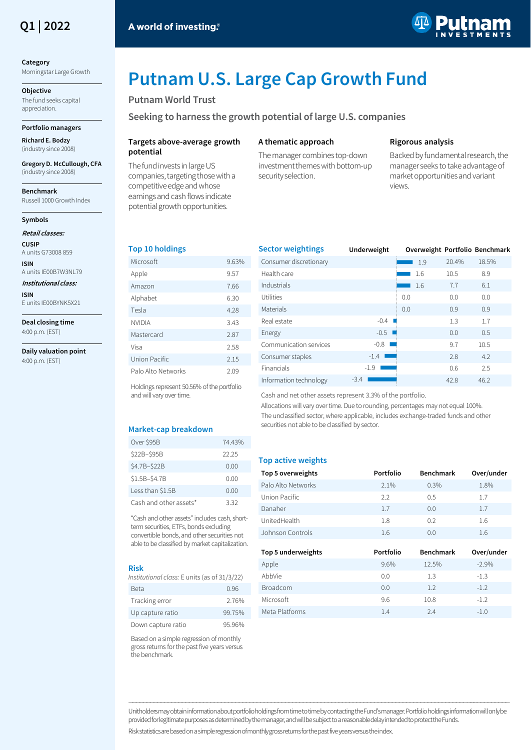

# **Category**

Morningstar Large Growth

**Objective** The fund seeks capital appreciation.

# **Portfolio managers**

**Richard E. Bodzy** (industry since 2008)

**Gregory D. McCullough, CFA** (industry since 2008)

**Benchmark** Russell 1000 Growth Index

#### **Symbols**

**Retail classes:**

**CUSIP** A units G73008 859 **ISIN**

A units IE00B7W3NL79 **Institutional class:**

**ISIN** E units IE00BYNK5X21

**Deal closing time** 4:00 p.m. (EST)

**Daily valuation point** 4:00 p.m. (EST)



# **Putnam U.S. Large Cap Growth Fund**

# **Putnam World Trust**

**Seeking to harness the growth potential of large U.S. companies** 

#### **Targets above-average growth potential**

The fund invests in large US companies, targeting those with a competitive edge and whose earnings and cash flows indicate potential growth opportunities.

# **A thematic approach**

The manager combines top-down investment themes with bottom-up security selection.

#### **Rigorous analysis**

Backed by fundamental research, the manager seeks to take advantage of market opportunities and variant views.

# **Top 10 holdings**

| Microsoft          | 9.63% |
|--------------------|-------|
| Apple              | 9.57  |
| Amazon             | 7.66  |
| Alphabet           | 6.30  |
| Tesla              | 4.28  |
| <b>NVIDIA</b>      | 3.43  |
| Mastercard         | 2.87  |
| Visa               | 2.58  |
| Union Pacific      | 2.15  |
| Palo Alto Networks | 2.09  |

Holdings represent 50.56% of the portfolio and will vary over time.

#### **Market-cap breakdown**

| Over \$95B             | 7443% |
|------------------------|-------|
| \$22B-\$95B            | 22.25 |
| \$4.7B-\$22B           | 0.00  |
| \$1.5B-\$4.7B          | N V V |
| Less than \$1.5B       | 0.00  |
| Cash and other assets* | 3.32  |

"Cash and other assets" includes cash, shortterm securities, ETFs, bonds excluding convertible bonds, and other securities not able to be classified by market capitalization.

#### **Risk**

*Institutional class:* E units (as of 31/3/22)

| Beta               | 0.96   |
|--------------------|--------|
| Tracking error     | 2.76%  |
| Up capture ratio   | 99.75% |
| Down capture ratio | 95.96% |

Based on a simple regression of monthly gross returns for the past five years versus the benchmark.

| <b>Sector weightings</b> | Underweight |     |       | Overweight Portfolio Benchmark |
|--------------------------|-------------|-----|-------|--------------------------------|
| Consumer discretionary   |             | 1.9 | 20.4% | 18.5%                          |
| Health care              |             | 1.6 | 10.5  | 8.9                            |
| Industrials              |             | 1.6 | 7.7   | 6.1                            |
| <b>Utilities</b>         |             | 0.0 | 0.0   | 0.0                            |
| Materials                |             | 0.0 | 0.9   | 0.9                            |
| Real estate              | $-0.4$      |     | 1.3   | 1.7                            |
| Energy                   | $-0.5$      |     | 0.0   | 0.5                            |
| Communication services   | $-0.8$      |     | 9.7   | 10.5                           |
| Consumer staples         | $-1.4$      |     | 2.8   | 4.2                            |
| Financials               | $-1.9$      |     | 0.6   | 2.5                            |
| Information technology   | $-3.4$      |     | 42.8  | 46.2                           |

Cash and net other assets represent 3.3% of the portfolio.

Allocations will vary over time. Due to rounding, percentages may not equal 100%. The unclassified sector, where applicable, includes exchange-traded funds and other securities not able to be classified by sector.

# **Top active weights**

| Top 5 overweights  | Portfolio | <b>Benchmark</b> | Over/under |
|--------------------|-----------|------------------|------------|
| Palo Alto Networks | 2.1%      | 0.3%             | 1.8%       |
| Union Pacific      | 2.2       | 0.5              | 1.7        |
| Danaher            | 1.7       | 0.0              | 1.7        |
| UnitedHealth       | 1.8       | 02               | 1.6        |
| Johnson Controls   | 1.6       | (0.0)            | 1.6        |

| Top 5 underweights | Portfolio | <b>Benchmark</b> | Over/under |
|--------------------|-----------|------------------|------------|
| Apple              | 9.6%      | 12.5%            | $-2.9%$    |
| AbbVie             | 0.0       | 1.3              | $-1.3$     |
| Broadcom           | 0.0       | 1.2              | $-1.2$     |
| Microsoft          | 9.6       | 10.8             | $-1.2$     |
| Meta Platforms     | 1.4       | 24               | $-1.0$     |

――――――――――――――――――――――――――――――――――――――――――――――――――――――――――――――――――――――――――――――――――――――――――――――――――――――――――― Unitholders may obtain information about portfolio holdings from time to time by contacting the Fund's manager. Portfolio holdings information will only be provided for legitimate purposes as determined by the manager, andwill be subject to a reasonable delay intended to protect the Funds.

Risk statistics are based on a simple regression of monthly gross returns for the past five years versus the index.